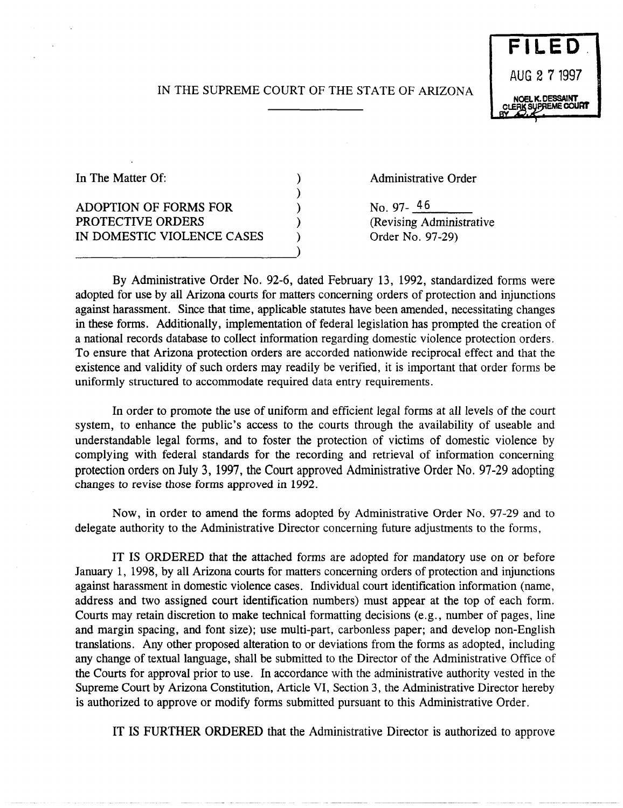# IN THE SUPREME COURT OF THE STATE OF ARIZONA

) ) ) ) )



In The Matter Of:

ADOPTION OF FORMS FOR PROTECTIVE ORDERS IN DOMESTIC VIOLENCE CASES

---------------------------)

Administrative Order

No. 97- $46$ (Revising Administrative Order No. 97-29)

By Administrative Order No. 92-6, dated February 13, 1992, standardized forms were adopted for use by all Arizona courts for matters concerning orders of protection and injunctions against harassment. Since that time, applicable statutes have been amended, necessitating changes in these forms. Additionally, implementation of federal legislation has prompted the creation of a national records database to collect information regarding domestic violence protection orders. To ensure that Arizona protection orders are accorded nationwide reciprocal effect and that the existence and validity of such orders may readily be verified, it is important that order forms be uniformly structured to accommodate required data entry requirements.

In order to promote the use of uniform and efficient legal forms at all levels of the court system, to enhance the public's access to the courts through the availability of useable and understandable legal forms, and to foster the protection of victims of domestic violence by complying with federal standards for the recording and retrieval of information concerning protection orders on July 3, 1997, the Court approved Administrative Order No. 97-29 adopting changes to revise those forms approved in 1992.

Now, in order to amend the forms adopted by Administrative Order No. 97-29 and to delegate authority to the Administrative Director concerning future adjustments to the forms,

IT IS ORDERED that the attached forms are adopted for mandatory use on or before January 1, 1998, by all Arizona courts for matters concerning orders of protection and injunctions against harassment in domestic violence cases. Individual court identification information (name, address and two assigned court identification numbers) must appear at the top of each form. Courts may retain discretion to make technical formatting decisions (e. g., number of pages, line and margin spacing, and font size); use multi-part, carbonless paper; and develop non-English translations. Any other proposed alteration to or deviations from the forms as adopted, including any change of textual language, shall be submitted to the Director of the Administrative Office of the Courts for approval prior to use. In accordance with the administrative authority vested in the Supreme Court by Arizona Constitution, Article VI, Section 3, the Administrative Director hereby is authorized to approve or modify forms submitted pursuant to this Administrative Order.

IT IS FURTHER ORDERED that the Administrative Director is authorized to approve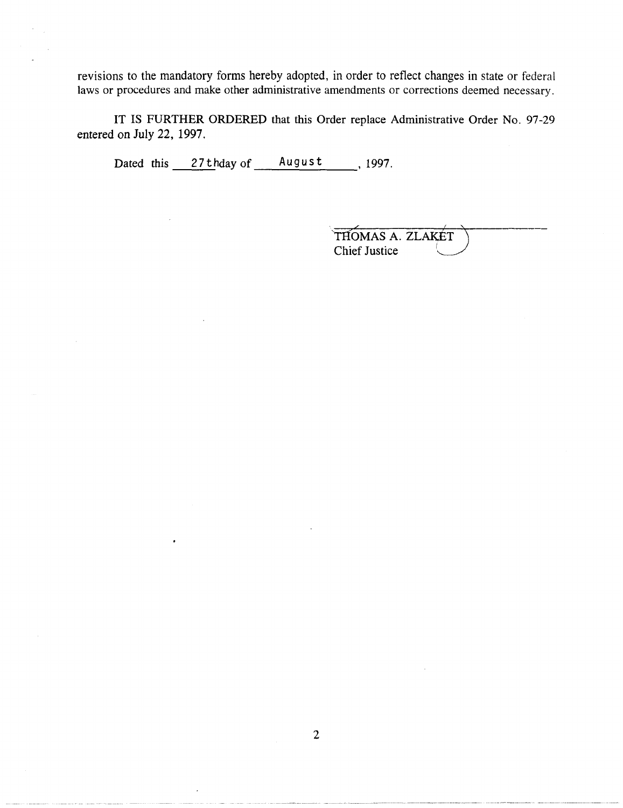revisions to the mandatory forms hereby adopted, in order to reflect changes in state or federal laws or procedures and make other administrative amendments or corrections deemed necessary.

**IT** IS FURTHER ORDERED that this Order replace Administrative Order No. 97-29 entered on July 22, 1997.

Dated this  $27$  thday of August , 1997.

| THOMAS A. ZLAKET     |  |
|----------------------|--|
| <b>Chief Justice</b> |  |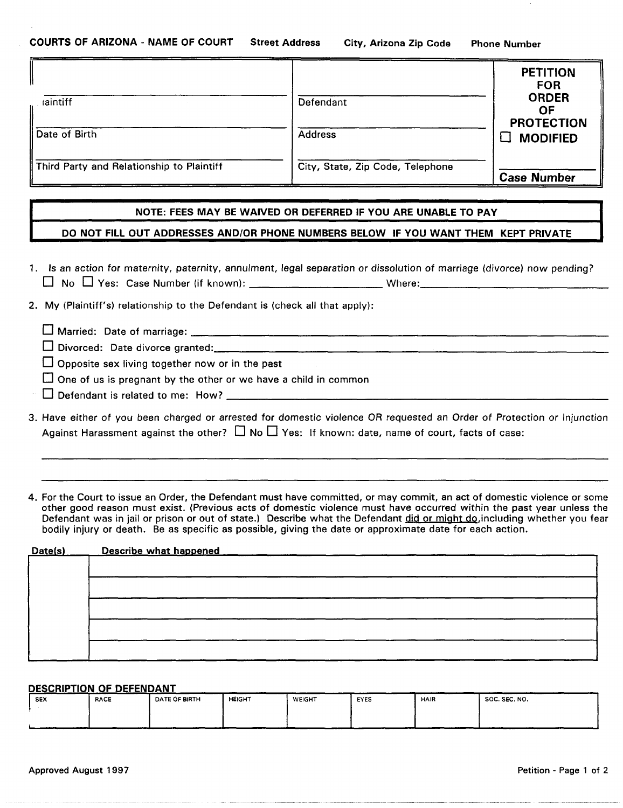|                                           |                                  | <b>PETITION</b><br><b>FOR</b><br><b>ORDER</b> |
|-------------------------------------------|----------------------------------|-----------------------------------------------|
| laintiff                                  | Defendant                        | ΟF<br><b>PROTECTION</b>                       |
| Date of Birth                             | <b>Address</b>                   | <b>MODIFIED</b>                               |
| Third Party and Relationship to Plaintiff | City, State, Zip Code, Telephone | <b>Case Number</b>                            |

#### **NOTE: FEES MAY BE WAIVED OR DEFERRED IF YOU ARE UNABLE TO PAY**

#### **DO NOT FILL OUT ADDRESSES AND/OR PHONE NUMBERS BELOW IF YOU WANT THEM KEPT PRIVATE**

|                                                      |        | 1. Is an action for maternity, paternity, annulment, legal separation or dissolution of marriage (divorce) now pending? |
|------------------------------------------------------|--------|-------------------------------------------------------------------------------------------------------------------------|
| $\Box$ No $\Box$ Yes: Case Number (if known): $\Box$ | Where: |                                                                                                                         |

2. My (Plaintiff's) relationship to the Defendant is (check all that apply):

# $\Box$  Married: Date of marriage:  $\Box$

- o Divoroed: DMedivoroeg~med: \_\_\_\_\_\_\_\_\_\_\_\_\_\_\_\_\_\_\_\_\_\_\_\_\_\_\_\_\_\_\_\_\_\_\_\_\_\_\_\_\_\_\_\_\_\_\_\_\_\_\_\_\_\_\_\_\_\_\_\_\_\_ ~
- $\square$  Divorced: Date divorce granted:<br> $\square$  Opposite sex living together now or in the past
- $\square$  One of us is pregnant by the other or we have a child in common
- o D~endamisreIMedwme: How? \_\_\_\_\_\_\_\_\_\_\_\_\_\_\_\_\_\_\_\_\_\_\_\_\_\_\_\_\_\_\_\_\_\_\_\_\_\_\_\_\_\_\_\_\_\_\_\_\_\_\_\_\_\_\_\_\_\_\_\_ <sup>~</sup>
- 3. Have either of you been charged or arrested for domestic violence OR requested an Order of Protection or Injunction Against Harassment against the other?  $\Box$  No  $\Box$  Yes: If known: date, name of court, facts of case:

4. For the Court to issue an Order, the Defendant must have committed, or may commit, an act of domestic violence or some other good reason must exist. (Previous acts of domestic violence must have occurred within the past year unless the Defendant was in jail or prison or out of state.) Describe what the Defendant did or might do, including whether you fear bodily injury or death. Be as specific as possible, giving the date or approximate date for each action.

| Date(s) | Describe what happened |
|---------|------------------------|
|         |                        |
|         |                        |
|         |                        |
|         |                        |
|         |                        |
|         |                        |
|         |                        |
|         |                        |

|            | DESCRIPTION OF DEFENDANT |                      |               |               |      |      |               |
|------------|--------------------------|----------------------|---------------|---------------|------|------|---------------|
| <b>SEX</b> | <b>RACE</b>              | <b>DATE OF BIRTH</b> | <b>HEIGHT</b> | <b>WEIGHT</b> | EYES | HAIR | SOC. SEC. NO. |
|            |                          |                      |               |               |      |      |               |
|            |                          |                      |               |               |      |      |               |
|            |                          |                      |               |               |      |      | __            |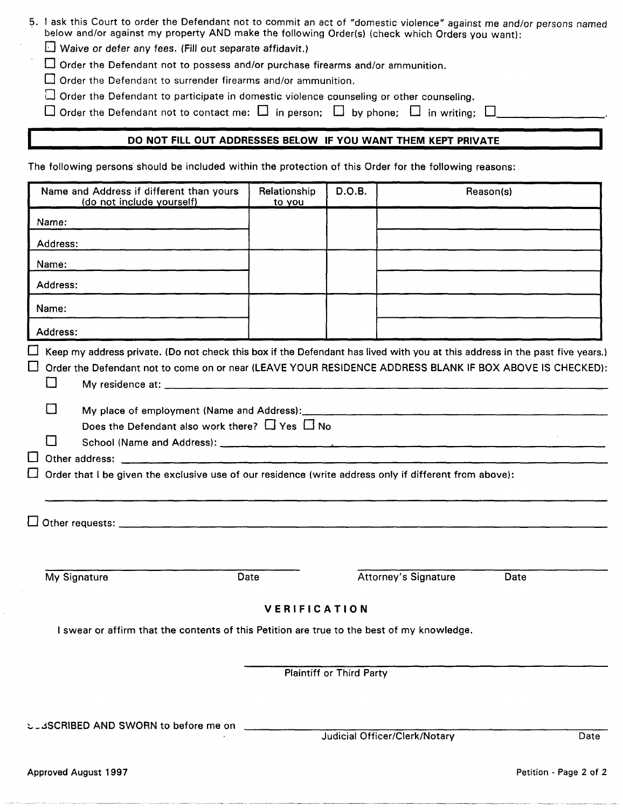| 5. I ask this Court to order the Defendant not to commit an act of "domestic violence" against me and/or persons named<br>below and/or against my property AND make the following Order(s) (check which Orders you want):<br>$\Box$ Waive or defer any fees. (Fill out separate affidavit.)<br>$\Box$ Order the Defendant not to possess and/or purchase firearms and/or ammunition. |                        |                                 |                               |                        |  |
|--------------------------------------------------------------------------------------------------------------------------------------------------------------------------------------------------------------------------------------------------------------------------------------------------------------------------------------------------------------------------------------|------------------------|---------------------------------|-------------------------------|------------------------|--|
| Order the Defendant to surrender firearms and/or ammunition.<br>$\Box$ Order the Defendant to participate in domestic violence counseling or other counseling.<br>$\Box$ Order the Defendant not to contact me: $\Box$ in person; $\Box$ by phone; $\Box$ in writing; $\Box$                                                                                                         |                        |                                 |                               |                        |  |
| DO NOT FILL OUT ADDRESSES BELOW IF YOU WANT THEM KEPT PRIVATE                                                                                                                                                                                                                                                                                                                        |                        |                                 |                               |                        |  |
| The following persons should be included within the protection of this Order for the following reasons:                                                                                                                                                                                                                                                                              |                        |                                 |                               |                        |  |
| Name and Address if different than yours<br>(do not include yourself)                                                                                                                                                                                                                                                                                                                | Relationship<br>to you | D.O.B.                          |                               | Reason(s)              |  |
| Name:                                                                                                                                                                                                                                                                                                                                                                                |                        |                                 |                               |                        |  |
| Address:                                                                                                                                                                                                                                                                                                                                                                             |                        |                                 |                               |                        |  |
| Name:                                                                                                                                                                                                                                                                                                                                                                                |                        |                                 |                               |                        |  |
| Address:                                                                                                                                                                                                                                                                                                                                                                             |                        |                                 |                               |                        |  |
| Name:                                                                                                                                                                                                                                                                                                                                                                                |                        |                                 |                               |                        |  |
| Address:                                                                                                                                                                                                                                                                                                                                                                             |                        |                                 |                               |                        |  |
| $\Box$<br>$\Box$<br>Does the Defendant also work there? $\Box$ Yes $\Box$ No<br>Order that I be given the exclusive use of our residence (write address only if different from above):                                                                                                                                                                                               |                        |                                 |                               |                        |  |
|                                                                                                                                                                                                                                                                                                                                                                                      |                        |                                 |                               |                        |  |
| My Signature<br>Date                                                                                                                                                                                                                                                                                                                                                                 |                        |                                 | Attorney's Signature          | Date                   |  |
| I swear or affirm that the contents of this Petition are true to the best of my knowledge.                                                                                                                                                                                                                                                                                           | VERIFICATION           |                                 |                               |                        |  |
|                                                                                                                                                                                                                                                                                                                                                                                      |                        | <b>Plaintiff or Third Party</b> |                               |                        |  |
| ಲ್ಲವSCRIBED AND SWORN to before me on __________                                                                                                                                                                                                                                                                                                                                     |                        |                                 | Judicial Officer/Clerk/Notary | Date                   |  |
| Approved August 1997                                                                                                                                                                                                                                                                                                                                                                 |                        |                                 |                               | Petition - Page 2 of 2 |  |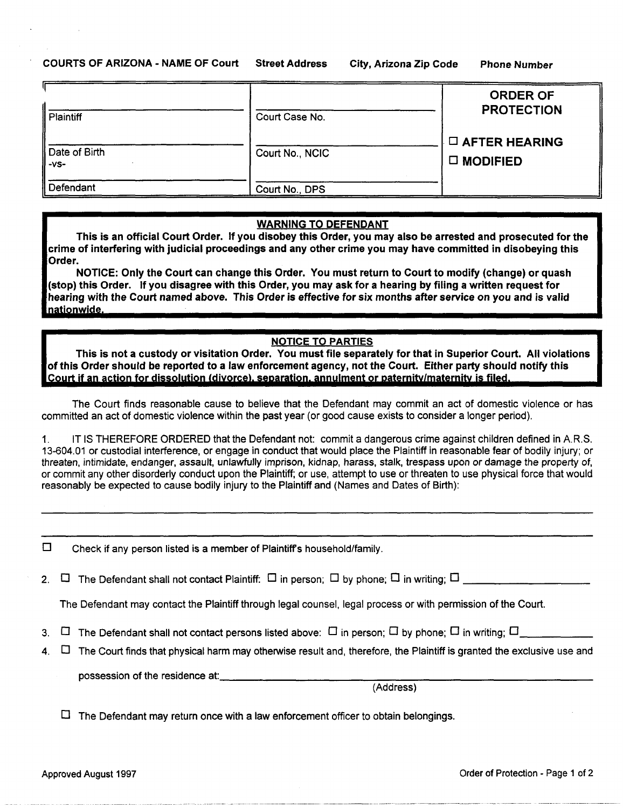| <b>Plaintiff</b>        | Court Case No.  | <b>ORDER OF</b><br><b>PROTECTION</b>          |
|-------------------------|-----------------|-----------------------------------------------|
| Date of Birth<br>$-VS-$ | Court No., NCIC | $\square$ AFTER HEARING<br>$\square$ MODIFIED |
| Defendant               | Court No., DPS  |                                               |

#### WARNING TO DEFENDANT

This is an official Court Order. If you disobey this Order, you may also be arrested and prosecuted for the crime of interfering with judicial proceedings and any other crime you may have committed in disobeying this Order.

NOTICE: Only the Court can change this Order. You must return to Court to modify (change) or quash (stop) this Order. If you disagree with this Order, you may ask for a hearing by filing a written request for hearing with the Court named above. This Order is effective for six months after service on you and is valid

#### NOTICE TO PARTIES

This is not a custody or visitation Order. You must file separately for that in Superior Court. All violations of this Order. If you disagree with this Order, you may ask for a hearing by filing a written request for<br>hearing with the Court named above. This Order is effective for six months after service on you and is valid<br>nationw

The Court finds reasonable cause to believe that the Defendant may commit an act of domestic violence or has committed an act of domestic violence within the past year (or good cause exists to consider a longer period).

1. IT IS THEREFORE ORDERED that the Defendant not commit a dangerous crime against children defined in A.R.S. 13-604.01 or custodial interference, or engage in conduct that would place the Plaintiff in reasonable fear of bodily injury; or threaten, intimidate, endanger, assault, unlawfully imprison, kidnap, harass, stalk, trespass upon or damage the property of, or commit any other disorderly conduct upon the Plaintiff; or use, attempt to use or threaten to use physical force that would reasonably be expected to cause bodily injury to the Plaintiff and (Names and Dates of Birth):

 $\square$  Check if any person listed is a member of Plaintiff's household/family.

2. 0 The Defendant shall not contact Plaintiff: 0 in person; 0 by phone; 0 in writing; 0 \_\_\_\_\_\_\_\_\_ \_

The Defendant may contact the Plaintiff through legal counsel, legal process or with permission of the Court.

3.  $\Box$  The Defendant shall not contact persons listed above:  $\Box$  in person;  $\Box$  by phone;  $\Box$  in writing;  $\Box$ 

4.  $\Box$  The Court finds that physical harm may otherwise result and, therefore, the Plaintiff is granted the exclusive use and

possession of the residence at:

(Address)

 $\Box$  The Defendant may return once with a law enforcement officer to obtain belongings.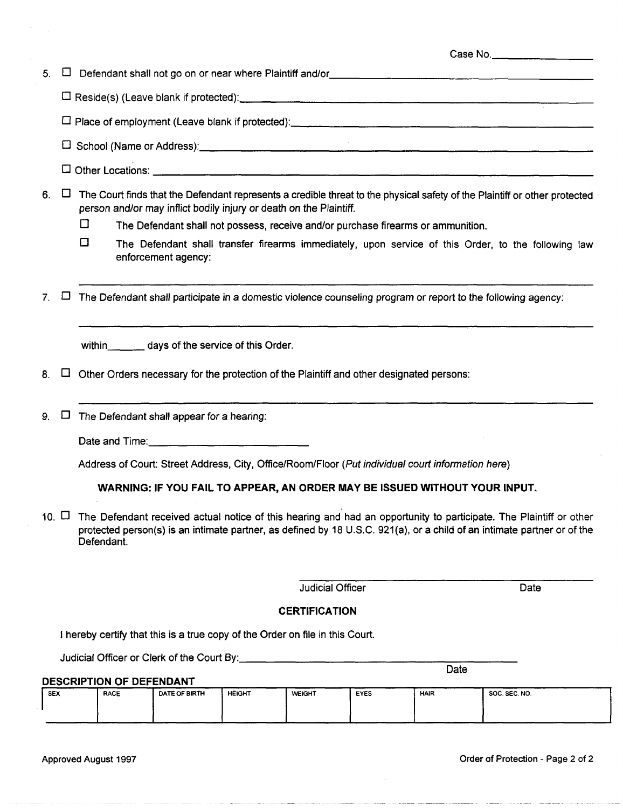### 5.  $\Box$  Defendant shall not go on or near where Plaintiff and/or  $\Box$

o Reside(s) (Leave blank if protected): \_\_\_\_\_\_\_\_\_\_\_\_\_\_\_\_\_\_\_\_\_\_\_\_\_ \_

o Place of employment (Leave blank if protected): \_\_\_\_\_\_\_\_\_\_\_\_\_\_\_\_\_\_\_\_\_\_ \_

o School (Name or Address): \_\_\_\_\_\_\_\_\_\_\_\_\_\_\_\_\_\_\_\_\_\_\_\_\_\_\_\_ \_

o Other Locations: \_\_\_\_\_\_\_\_\_\_\_\_\_\_\_\_\_\_\_\_\_\_\_\_\_\_\_\_\_\_\_\_ \_

6.  $\Box$  The Court finds that the Defendant represents a credible threat to the physical safety of the Plaintiff or other protected person and/or may inflict bodily injury or death on the Plaintiff.

- $\square$  The Defendant shall not possess, receive and/or purchase firearms or ammunition.
- $\Box$  The Defendant shall transfer firearms immediately, upon service of this Order, to the following law enforcement agency:

7.  $\Box$  The Defendant shall participate in a domestic violence counseling program or report to the following agency:

within days of the service of this Order.

- 8.  $\Box$  Other Orders necessary for the protection of the Plaintiff and other designated persons:
- 9.  $\Box$  The Defendant shall appear for a hearing:
	- Date and Time:

Address of Court: Street Address, City, Office/Room/Floor (Put individual court information here)

**WARNING: IF YOU FAIL TO APPEAR, AN ORDER MAY BE ISSUED WITHOUT YOUR INPUT.** 

10.  $\Box$  The Defendant received actual notice of this hearing and had an opportunity to participate. The Plaintiff or other protected person(s) is an intimate partner, as defined by 18 U.S.C. 921(a), or a child of an intimate partner or of the Defendant.

Judicial Officer **Date** 

## **CERTIFICATION**

I hereby certify that this is a true copy of the Order on file in this Court.

Judicial Officer or Clerk of the Court 8y: \_\_\_\_\_\_\_\_\_\_\_\_\_\_\_\_\_\_\_\_ \_

#### **DESCRIPTION OF DEFENDANT**

| <b>SEX</b> | <b>RACE</b> | DATE OF BIRTH | <b>HEIGHT</b> | <b>WEIGHT</b> | EYES | _____<br><b>HAIR</b> | --------<br>-----<br>SOC. SEC. NO. |
|------------|-------------|---------------|---------------|---------------|------|----------------------|------------------------------------|
|            |             |               |               |               |      |                      |                                    |
|            |             |               |               |               |      |                      | .                                  |

Approved August 1997 Order of Protection - Page 2 of 2

Date

Case No. \_\_\_\_\_\_\_ \_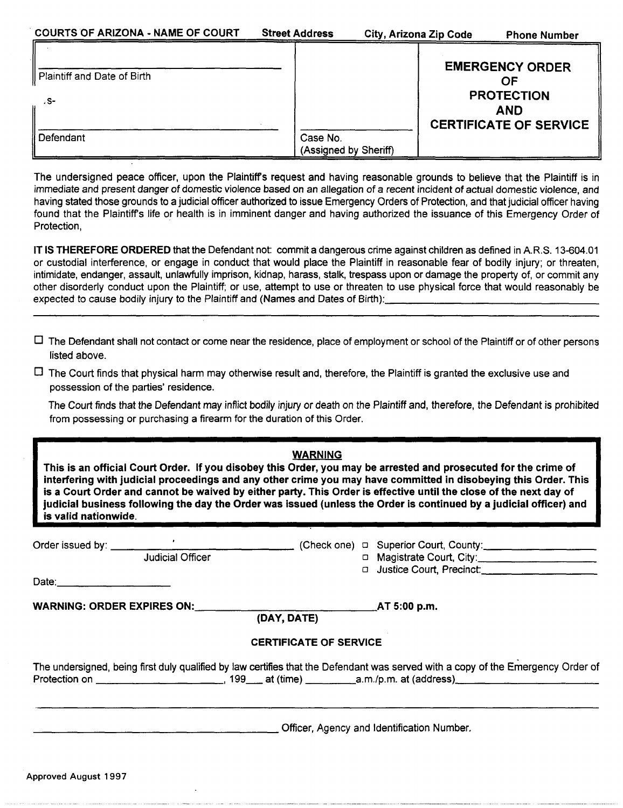|                             |                       | <b>EMERGENCY ORDER</b>        |
|-----------------------------|-----------------------|-------------------------------|
| Plaintiff and Date of Birth |                       | OF                            |
|                             |                       | <b>PROTECTION</b>             |
| . S-                        |                       | <b>AND</b>                    |
|                             |                       | <b>CERTIFICATE OF SERVICE</b> |
| Defendant                   | Case No.              |                               |
|                             | (Assigned by Sheriff) |                               |

The undersigned peace officer, upon the Plaintiffs request and having reasonable grounds to believe that the Plaintiff is in immediate and present danger of domestic violence based on an allegation of a recent incident of actual domestic violence, and having stated those grounds to a judicial officer authorized to issue Emergency Orders of Protection, and that judicial officer having found that the Plaintiffs life or health is in imminent danger and having authorized the issuance of this Emergency Order of Protection,

**IT IS THEREFORE ORDERED** that the Defendant not: commit a dangerous crime against children as defined in A.R.S. 13-604.01 or custodial interference, or engage in conduct that would place the Plaintiff in reasonable fear of bodily injury; or threaten, intimidate, endanger, assault, unlawfully imprison, kidnap, harass, stalk, trespass upon or damage the property of, or commit any other disorderly conduct upon the Plaintiff; or use, attempt to use or threaten to use physical force that would reasonably be<br>expected to cause bodily injury to the Plaintiff and (Names and Dates of Birth):\_\_\_\_\_\_\_\_\_\_\_\_\_\_\_

 $\Box$  The Defendant shall not contact or come near the residence, place of employment or school of the Plaintiff or of other persons listed above.

 $\Box$  The Court finds that physical harm may otherwise result and, therefore, the Plaintiff is granted the exclusive use and possession of the parties' residence.

The Court finds that the Defendant may inflict bodily injury or death on the Plaintiff and, therefore, the Defendant is prohibited from possessing or purchasing a firearm for the duration of this Order.

|                      |                                                 | <b>WARNING</b>                |                                                                                                                                                                                                                                                                                                                                                                                                                                                                               |
|----------------------|-------------------------------------------------|-------------------------------|-------------------------------------------------------------------------------------------------------------------------------------------------------------------------------------------------------------------------------------------------------------------------------------------------------------------------------------------------------------------------------------------------------------------------------------------------------------------------------|
| is valid nationwide. |                                                 |                               | This is an official Court Order. If you disobey this Order, you may be arrested and prosecuted for the crime of<br>interfering with judicial proceedings and any other crime you may have committed in disobeying this Order. This<br>is a Court Order and cannot be waived by either party. This Order is effective until the close of the next day of<br>judicial business following the day the Order was issued (unless the Order is continued by a judicial officer) and |
|                      | Judicial Officer                                |                               | D Magistrate Court, City:                                                                                                                                                                                                                                                                                                                                                                                                                                                     |
|                      | WARNING: ORDER EXPIRES ON: ____________________ | (DAY, DATE)                   | AT 5:00 p.m.                                                                                                                                                                                                                                                                                                                                                                                                                                                                  |
|                      |                                                 | <b>CERTIFICATE OF SERVICE</b> |                                                                                                                                                                                                                                                                                                                                                                                                                                                                               |
|                      |                                                 |                               | The undersigned, being first duly qualified by law certifies that the Defendant was served with a copy of the Emergency Order of                                                                                                                                                                                                                                                                                                                                              |
|                      |                                                 |                               | Officer, Agency and Identification Number.                                                                                                                                                                                                                                                                                                                                                                                                                                    |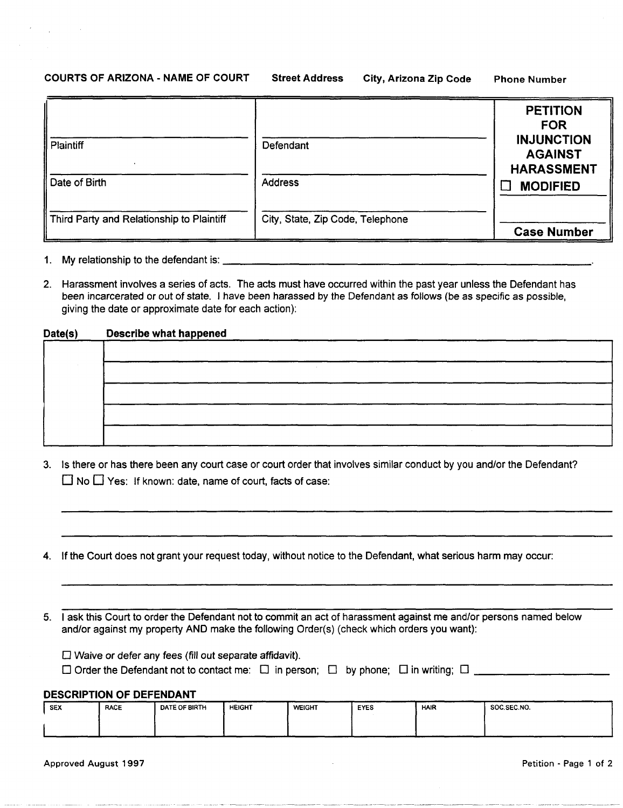#### **COURTS OF ARIZONA - NAME OF COURT Street Address City, Arizona Zip Code Phone Number**

|                                           |                                  | <b>PETITION</b><br><b>FOR</b>                            |
|-------------------------------------------|----------------------------------|----------------------------------------------------------|
| Plaintiff                                 | Defendant                        | <b>INJUNCTION</b><br><b>AGAINST</b><br><b>HARASSMENT</b> |
| Date of Birth                             | <b>Address</b>                   | <b>MODIFIED</b>                                          |
| Third Party and Relationship to Plaintiff | City, State, Zip Code, Telephone | <b>Case Number</b>                                       |

- 
- 2. Harassment involves a series of acts. The acts must have occurred within the past year unless the Defendant has been incarcerated or out of state. I have been harassed by the Defendant as follows (be as specific as possible, giving the date or approximate date for each action):

#### **Date(s) Describe what happened**

- 3. Is there or has there been any court case or court order that involves similar conduct by you and/or the Defendant?  $\Box$  No  $\Box$  Yes: If known: date, name of court, facts of case:
- 4. If the Court does not grant your request today, without notice to the Defendant, what serious harm may occur:

5. I ask this Court to order the Defendant not to commit an act of harassment against me and/or persons named below and/or against my property AND make the following Order(s) (check which orders you want):

| $\square$ Waive or defer any fees (fill out separate affidavit). |  |
|------------------------------------------------------------------|--|
|                                                                  |  |

| LI vvalve or defer any fees (fill out separate afficavit).                                                                              |  |  |
|-----------------------------------------------------------------------------------------------------------------------------------------|--|--|
| $\Box$ Order the Defendant not to contact me: $\quad \Box$ in person; $\quad \Box \,$ by phone; $\quad \Box$ in writing; $\Box \, \Box$ |  |  |

### **DESCRIPTION OF DEFENDANT**

| <b>SEX</b> | <b>RACE</b> | DATE OF BIRTH | <b>HEIGHT</b> | <b>WEIGHT</b> | <b>EYES</b> | <b>HAIR</b> | <b>SOC.SEC.NO.</b> |
|------------|-------------|---------------|---------------|---------------|-------------|-------------|--------------------|
|            |             |               |               |               |             |             |                    |
|            |             |               |               |               |             |             |                    |

Approved August 1997 Petition - Page 1 of 2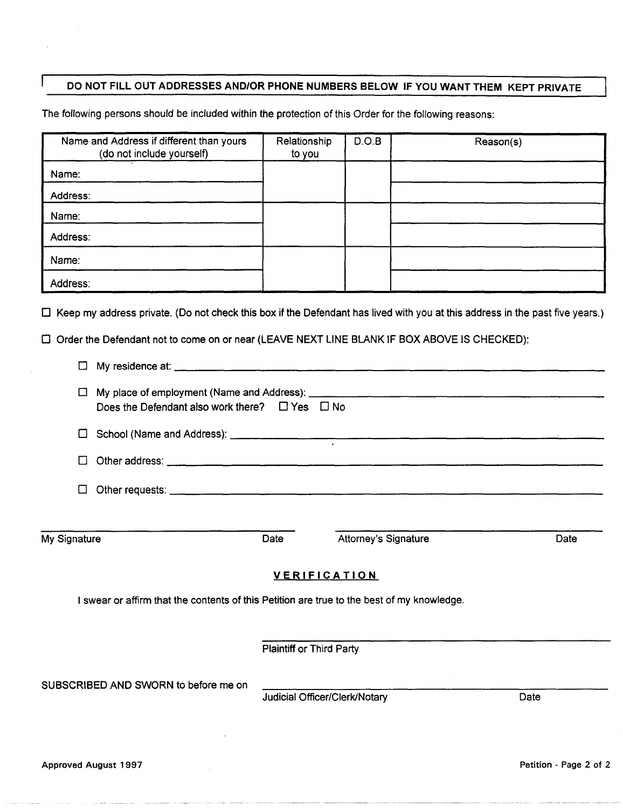# DO NOT FILL OUT ADDRESSES ANDIOR PHONE NUMBERS BELOW IF YOU WANT THEM KEPT PRIVATE

The following persons should be included within the protection of this Order for the following reasons:

| Relationship<br>to you | D.O.B | Reason(s) |
|------------------------|-------|-----------|
|                        |       |           |
|                        |       |           |
|                        |       |           |
|                        |       |           |
|                        |       |           |
|                        |       |           |
|                        |       |           |

o Order the Defendant not to come on or near (LEAVE NEXT LINE BLANK IF BOX ABOVE IS CHECKED):

| □            |                                                                                            |                                 |                               |      |
|--------------|--------------------------------------------------------------------------------------------|---------------------------------|-------------------------------|------|
|              | Does the Defendant also work there? $\Box$ Yes $\Box$ No                                   |                                 |                               |      |
|              |                                                                                            |                                 |                               |      |
| $\Box$       |                                                                                            |                                 |                               |      |
| $\Box$       |                                                                                            |                                 |                               |      |
|              |                                                                                            |                                 |                               |      |
| My Signature |                                                                                            | Date                            | Attorney's Signature          | Date |
|              |                                                                                            |                                 | <b>VERIFICATION</b>           |      |
|              | I swear or affirm that the contents of this Petition are true to the best of my knowledge. |                                 |                               |      |
|              |                                                                                            |                                 |                               |      |
|              |                                                                                            | <b>Plaintiff or Third Party</b> |                               |      |
|              | SUBSCRIBED AND SWORN to before me on                                                       |                                 |                               |      |
|              |                                                                                            |                                 | Judicial Officer/Clerk/Notary | Date |
|              |                                                                                            |                                 |                               |      |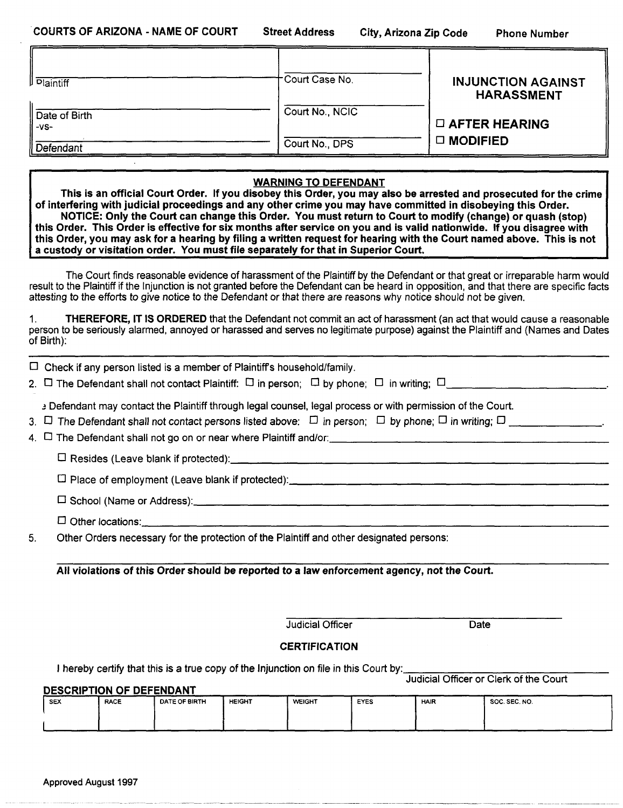| <b>Plaintiff</b>        | Court Case No.                                                                                                                                                                                                                                                                                                                                                                 | <b>INJUNCTION AGAINST</b><br><b>HARASSMENT</b> |
|-------------------------|--------------------------------------------------------------------------------------------------------------------------------------------------------------------------------------------------------------------------------------------------------------------------------------------------------------------------------------------------------------------------------|------------------------------------------------|
| Date of Birth<br>$-VS-$ | Court No., NCIC                                                                                                                                                                                                                                                                                                                                                                | $\square$ AFTER HEARING                        |
| Defendant               | Court No., DPS                                                                                                                                                                                                                                                                                                                                                                 | □ MODIFIED                                     |
|                         | <b>WARNING TO DEFENDANT</b><br>This is an official Court Order. If you disobey this Order, you may also be arrested and prosecuted for the crime<br>of interfering with judicial proceedings and any other crime you may have committed in disobeying this Order.<br>NOTICE: Only the Court can change this Order. You must return to Court to modify (change) or quash (stop) |                                                |

this Order. This Order is effective for six months after service on you and is valid nationwide. If you disagree with this Order, you may ask for a hearing by filing a written request for hearing with the Court named above. This is not a custody or visitation order. You must file separately for that in Superior Court.

The Court finds reasonable evidence of harassment of the Plaintiff by the Defendant or that great or irreparable harm would result to the Plaintiff if the Injunction is not granted before the Defendant can be heard in opposition, and that there are specific facts attesting to the efforts to give notice to the Defendant or that there are reasons why notice should not be given.

1. THEREFORE, IT IS ORDERED that the Defendant not commit an act of harassment (an act that would cause a reasonable person to be seriously alarmed, annoyed or harassed and serves no legitimate purpose) against the Plaintiff and (Names and Dates of Birth):

|    | $\Box$ Check if any person listed is a member of Plaintiff's household/family.                                                                                                                                                              |
|----|---------------------------------------------------------------------------------------------------------------------------------------------------------------------------------------------------------------------------------------------|
|    | 2. $\Box$ The Defendant shall not contact Plaintiff: $\Box$ in person; $\Box$ by phone; $\Box$ in writing; $\Box$                                                                                                                           |
|    | a Defendant may contact the Plaintiff through legal counsel, legal process or with permission of the Court.<br>3. $\Box$ The Defendant shall not contact persons listed above: $\Box$ in person; $\Box$ by phone; $\Box$ in writing; $\Box$ |
|    |                                                                                                                                                                                                                                             |
|    |                                                                                                                                                                                                                                             |
|    |                                                                                                                                                                                                                                             |
|    |                                                                                                                                                                                                                                             |
| 5. | Other Orders necessary for the protection of the Plaintiff and other designated persons:                                                                                                                                                    |

All violations of this Order should be reported to a law enforcement agency, not the Court.

Judicial Officer Date

### **CERTIFICATION**

I hereby certify that this is a true copy of the Injunction on file in this Court by:

JUdicial Officer or Clerk of the Court

| <b>DESCRIPTION OF DEFENDANT</b> |             |               |               |               |      |             |               |
|---------------------------------|-------------|---------------|---------------|---------------|------|-------------|---------------|
| . SEX                           | <b>RACE</b> | DATE OF BIRTH | <b>HEIGHT</b> | <b>WEIGHT</b> | EYES | <b>HAIR</b> | SOC. SEC. NO. |
|                                 |             |               |               |               |      |             |               |
|                                 |             |               |               |               |      |             |               |
|                                 |             |               |               |               |      |             |               |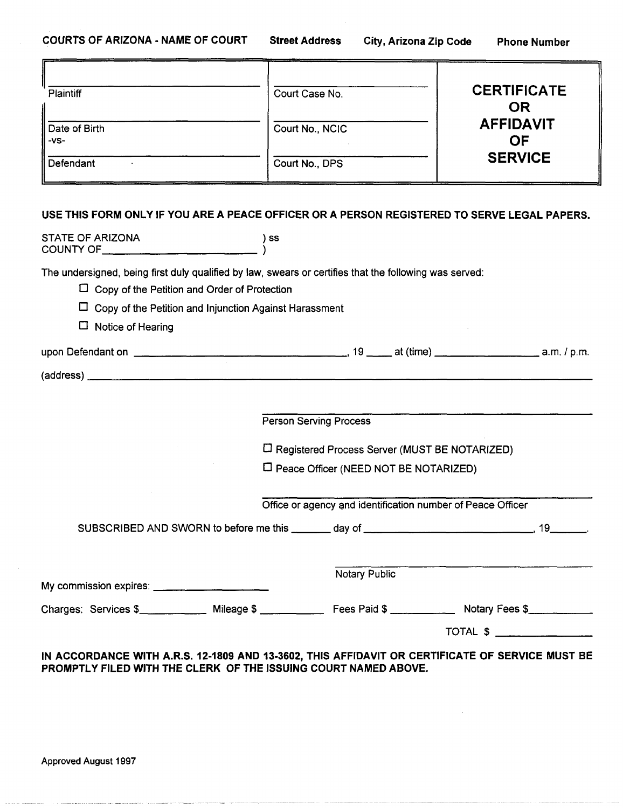| Plaintiff               | Court Case No.  | <b>CERTIFICATE</b><br><b>OR</b> |
|-------------------------|-----------------|---------------------------------|
| Date of Birth<br>$-VS-$ | Court No., NCIC | <b>AFFIDAVIT</b><br><b>OF</b>   |
| Defendant               | Court No., DPS  | <b>SERVICE</b>                  |
|                         |                 |                                 |

# USE THIS FORM ONLY IF YOU ARE A PEACE OFFICER OR A PERSON REGISTERED TO SERVE LEGAL PAPERS.

| STATE OF ARIZONA                                                | ) SS                                                                                                   |
|-----------------------------------------------------------------|--------------------------------------------------------------------------------------------------------|
|                                                                 | The undersigned, being first duly qualified by law, swears or certifies that the following was served: |
| $\Box$ Copy of the Petition and Order of Protection             |                                                                                                        |
| $\Box$ Copy of the Petition and Injunction Against Harassment   |                                                                                                        |
| $\Box$ Notice of Hearing                                        |                                                                                                        |
|                                                                 |                                                                                                        |
|                                                                 |                                                                                                        |
|                                                                 |                                                                                                        |
|                                                                 | <b>Person Serving Process</b>                                                                          |
|                                                                 | □ Registered Process Server (MUST BE NOTARIZED)                                                        |
|                                                                 | $\Box$ Peace Officer (NEED NOT BE NOTARIZED)                                                           |
|                                                                 | Office or agency and identification number of Peace Officer                                            |
|                                                                 |                                                                                                        |
|                                                                 | <b>Notary Public</b>                                                                                   |
|                                                                 |                                                                                                        |
|                                                                 | Charges: Services \$_____________ Mileage \$ ____________ Fees Paid \$ ___________ Notary Fees \$      |
|                                                                 |                                                                                                        |
| PROMPTLY FILED WITH THE CLERK OF THE ISSUING COURT NAMED ABOVE. | IN ACCORDANCE WITH A.R.S. 12-1809 AND 13-3602, THIS AFFIDAVIT OR CERTIFICATE OF SERVICE MUST BE        |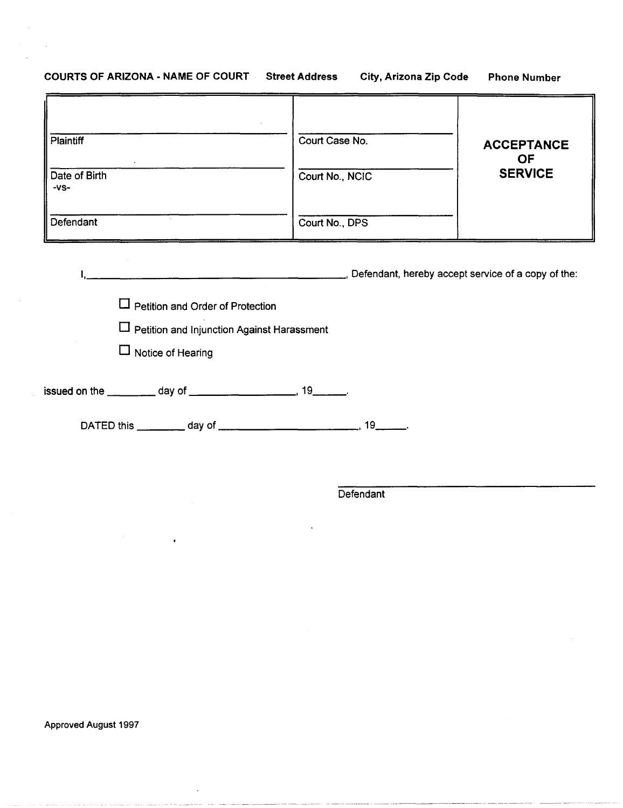# COURTS OF ARIZONA - NAME OF COURT Street Address City, Arizona Zip Code Phone Number

| Plaintiff<br>Date of Birth<br>$-VS-$<br>Defendant   | Court Case No.<br>Court No., NCIC<br>Court No., DPS | <b>ACCEPTANCE</b><br><b>OF</b><br><b>SERVICE</b> |
|-----------------------------------------------------|-----------------------------------------------------|--------------------------------------------------|
|                                                     |                                                     |                                                  |
| and the contract of the contract of the contract of | Defendant, hereby accept service of a copy of the:  |                                                  |
| $\Box$ Petition and Order of Protection             |                                                     |                                                  |
| <b>L</b> Petition and Injunction Against Harassment |                                                     |                                                  |
| $\Box$ Notice of Hearing                            |                                                     |                                                  |
|                                                     |                                                     |                                                  |
|                                                     |                                                     |                                                  |

**Defendant** 

Approved August 1997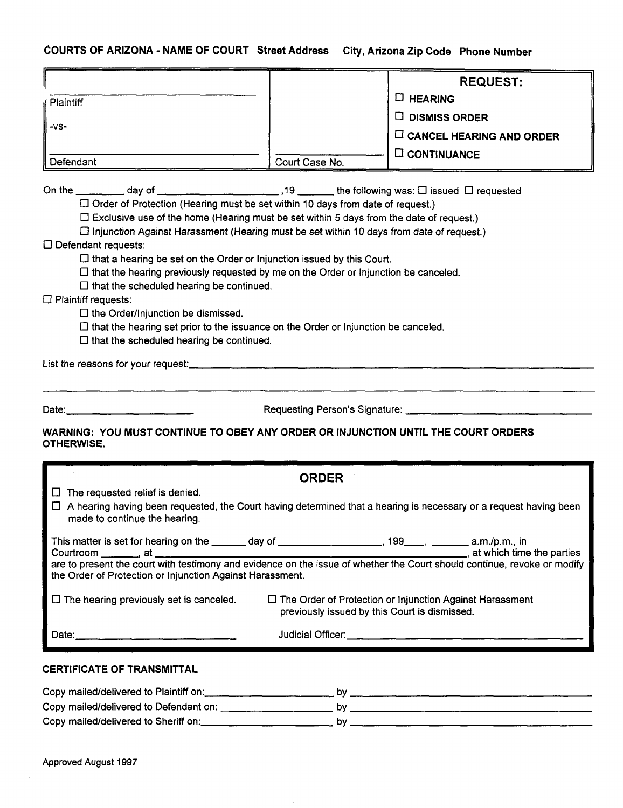# COURTS OF ARIZONA - NAME OF COURT Street Address City, Arizona

| COURTS OF ARIZONA - NAME OF COURT Street Address City, Arizona Zip Code Phone Number                                                                                                                                                                                                                                                                                                                                                                                                                                                                                                                                                                                                                                                                                                        |                                                                                               |                |                                                                 |  |  |  |  |
|---------------------------------------------------------------------------------------------------------------------------------------------------------------------------------------------------------------------------------------------------------------------------------------------------------------------------------------------------------------------------------------------------------------------------------------------------------------------------------------------------------------------------------------------------------------------------------------------------------------------------------------------------------------------------------------------------------------------------------------------------------------------------------------------|-----------------------------------------------------------------------------------------------|----------------|-----------------------------------------------------------------|--|--|--|--|
|                                                                                                                                                                                                                                                                                                                                                                                                                                                                                                                                                                                                                                                                                                                                                                                             |                                                                                               |                | <b>REQUEST:</b>                                                 |  |  |  |  |
| Plaintiff                                                                                                                                                                                                                                                                                                                                                                                                                                                                                                                                                                                                                                                                                                                                                                                   |                                                                                               | $\Box$ HEARING |                                                                 |  |  |  |  |
|                                                                                                                                                                                                                                                                                                                                                                                                                                                                                                                                                                                                                                                                                                                                                                                             |                                                                                               |                | $\Box$ DISMISS ORDER                                            |  |  |  |  |
| $-VS-$                                                                                                                                                                                                                                                                                                                                                                                                                                                                                                                                                                                                                                                                                                                                                                                      |                                                                                               |                | $\Box$ CANCEL HEARING AND ORDER                                 |  |  |  |  |
|                                                                                                                                                                                                                                                                                                                                                                                                                                                                                                                                                                                                                                                                                                                                                                                             |                                                                                               |                | $\square$ CONTINUANCE                                           |  |  |  |  |
| Defendant                                                                                                                                                                                                                                                                                                                                                                                                                                                                                                                                                                                                                                                                                                                                                                                   | Court Case No.                                                                                |                |                                                                 |  |  |  |  |
| $\Box$ Order of Protection (Hearing must be set within 10 days from date of request.)<br>$\Box$ Exclusive use of the home (Hearing must be set within 5 days from the date of request.)<br>$\Box$ Injunction Against Harassment (Hearing must be set within 10 days from date of request.)<br>$\square$ Defendant requests:<br>$\Box$ that a hearing be set on the Order or Injunction issued by this Court.<br>$\Box$ that the hearing previously requested by me on the Order or Injunction be canceled.<br>$\Box$ that the scheduled hearing be continued.<br>$\Box$ Plaintiff requests:<br>$\Box$ the Order/Injunction be dismissed.<br>$\Box$ that the hearing set prior to the issuance on the Order or Injunction be canceled.<br>$\square$ that the scheduled hearing be continued. |                                                                                               |                |                                                                 |  |  |  |  |
| Date:<br>WARNING: YOU MUST CONTINUE TO OBEY ANY ORDER OR INJUNCTION UNTIL THE COURT ORDERS                                                                                                                                                                                                                                                                                                                                                                                                                                                                                                                                                                                                                                                                                                  | Requesting Person's Signature:                                                                |                |                                                                 |  |  |  |  |
| <b>OTHERWISE.</b>                                                                                                                                                                                                                                                                                                                                                                                                                                                                                                                                                                                                                                                                                                                                                                           |                                                                                               |                |                                                                 |  |  |  |  |
|                                                                                                                                                                                                                                                                                                                                                                                                                                                                                                                                                                                                                                                                                                                                                                                             | <b>ORDER</b>                                                                                  |                |                                                                 |  |  |  |  |
| $\Box$ The requested relief is denied.<br>$\exists$ A hearing having been requested, the Court having determined that a hearing is necessary or a request having been<br>made to continue the hearing.                                                                                                                                                                                                                                                                                                                                                                                                                                                                                                                                                                                      |                                                                                               |                |                                                                 |  |  |  |  |
|                                                                                                                                                                                                                                                                                                                                                                                                                                                                                                                                                                                                                                                                                                                                                                                             | This matter is set for hearing on the entity day of entity and the matter of 199 and p.m., in |                |                                                                 |  |  |  |  |
| the Order of Protection or Injunction Against Harassment.                                                                                                                                                                                                                                                                                                                                                                                                                                                                                                                                                                                                                                                                                                                                   |                                                                                               |                |                                                                 |  |  |  |  |
| $\Box$ The hearing previously set is canceled.                                                                                                                                                                                                                                                                                                                                                                                                                                                                                                                                                                                                                                                                                                                                              | previously issued by this Court is dismissed.                                                 |                | $\Box$ The Order of Protection or Injunction Against Harassment |  |  |  |  |
| Date:                                                                                                                                                                                                                                                                                                                                                                                                                                                                                                                                                                                                                                                                                                                                                                                       | Judicial Officer:                                                                             |                |                                                                 |  |  |  |  |

# CERTIFICATE OF TRANSMITTAL

| Copy mailed/delivered to Plaintiff on: | nv |
|----------------------------------------|----|
| Copy mailed/delivered to Defendant on: | nv |
| Copy mailed/delivered to Sheriff on:   | n۷ |

Approved August 1997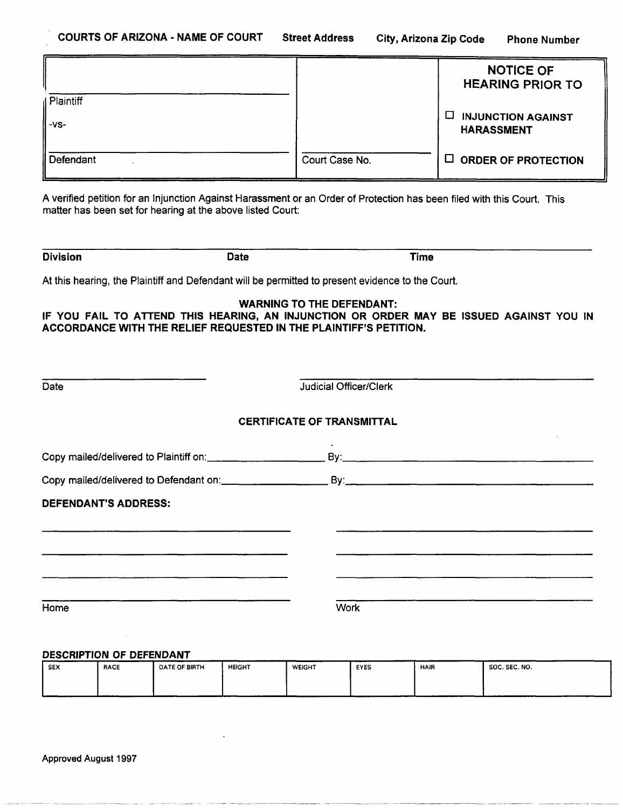|                     |                | <b>NOTICE OF</b><br><b>HEARING PRIOR TO</b>         |
|---------------------|----------------|-----------------------------------------------------|
| Plaintiff<br>$-VS-$ |                | □<br><b>INJUNCTION AGAINST</b><br><b>HARASSMENT</b> |
| Defendant           | Court Case No. | $\Box$ ORDER OF PROTECTION                          |

A verified petition for an Injunction Against Harassment or an Order of Protection has been filed with this Court. This matter has been set for hearing at the above listed Court:

| <b>Division</b> | <b>Date</b> | Time |
|-----------------|-------------|------|
|                 |             |      |

At this hearing, the Plaintiff and Defendant will be permitted to present evidence to the Court.

**WARNING TO THE DEFENDANT:** 

**IF YOU FAIL TO ATTEND THIS HEARING, AN INJUNCTION OR ORDER MAY BE ISSUED AGAINST YOU IN ACCORDANCE WITH THE RELIEF REQUESTED IN THE PLAINTIFF'S PETITION.** 

| <b>Judicial Officer/Clerk</b>     |  |
|-----------------------------------|--|
| <b>CERTIFICATE OF TRANSMITTAL</b> |  |
|                                   |  |
|                                   |  |
|                                   |  |
|                                   |  |
|                                   |  |
|                                   |  |
| <b>Work</b>                       |  |
|                                   |  |

#### **DESCRIPTION OF DEFENDANT**

| <b>SEX</b> | <b>RACE</b> | DATE OF BIRTH | <b>HEIGHT</b> | <b>WEIGHT</b> | EYES | <b>HAIR</b> | <b>SOC. SEC. NO.</b> |
|------------|-------------|---------------|---------------|---------------|------|-------------|----------------------|
|            |             |               |               |               |      |             |                      |
|            |             |               |               |               |      |             | ------               |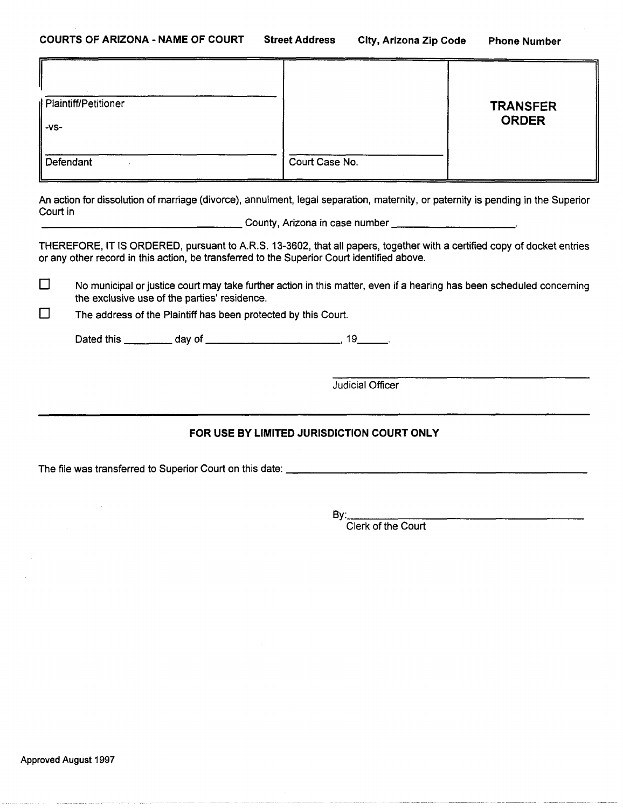| Plaintiff/Petitioner |                | <b>TRANSFER</b><br><b>ORDER</b> |
|----------------------|----------------|---------------------------------|
| $-VS-$<br>Defendant  | Court Case No. |                                 |

An action for dissolution of marriage (divorce), annulment, legal separation, maternity, or paternity is pending in the Superior Court in \_\_\_\_\_\_\_\_\_\_\_\_\_\_\_ County, Arizona in case number \_\_\_\_\_\_\_\_ \_

THEREFORE, IT (S ORDERED, pursuant to A.R.S. 13-3602, that all papers, together with a certified copy of docket entries or any other record in this action, be transferred to the Superior Court identified above.

 $\square$  No municipal or justice court may take further action in this matter, even if a hearing has been scheduled concerning the exclusive use of the parties' residence.

 $\Box$  The address of the Plaintiff has been protected by this Court.

Dated this \_\_\_\_ day of \_\_\_\_\_\_\_\_\_\_ , 19 \_\_ .

Judicial Officer

# FOR USE BY LIMITED JURISDICTION COURT ONLY

The file was transferred to Superior Court on this date: \_\_\_\_\_\_\_\_\_\_\_\_\_\_\_\_\_\_\_\_\_\_ \_

8y: \_\_\_\_\_\_\_\_\_\_\_\_\_\_\_ \_

Clerk of the Court

Approved August 1997